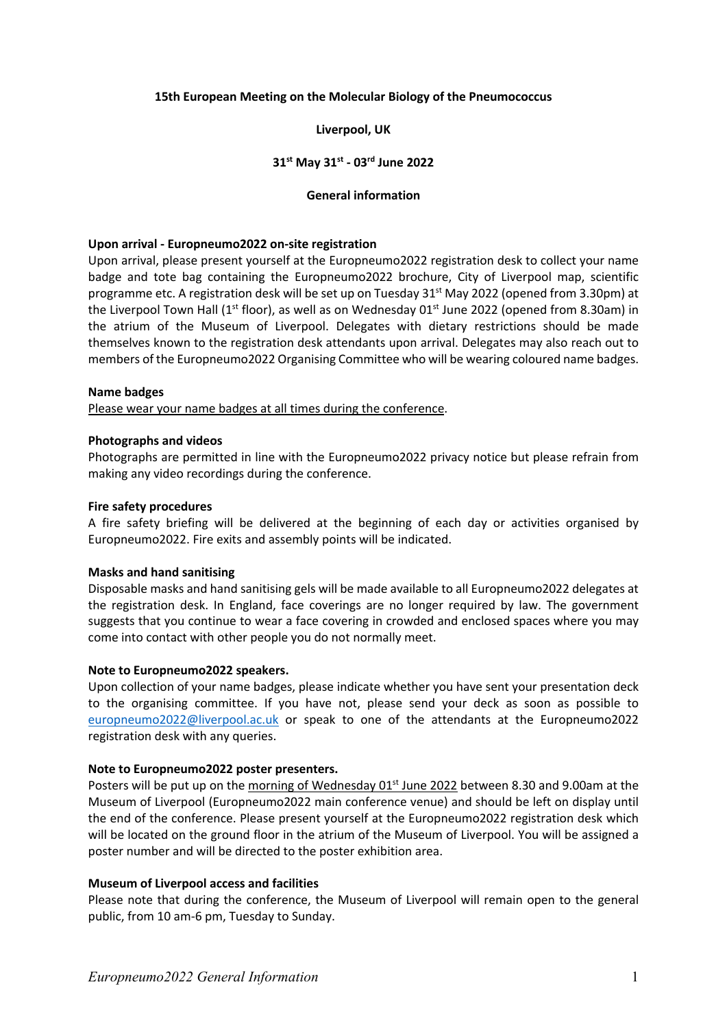### **15th European Meeting on the Molecular Biology of the Pneumococcus**

### **Liverpool, UK**

### **31st May 31st - 03rd June 2022**

#### **General information**

### **Upon arrival - Europneumo2022 on-site registration**

Upon arrival, please present yourself at the Europneumo2022 registration desk to collect your name badge and tote bag containing the Europneumo2022 brochure, City of Liverpool map, scientific programme etc. A registration desk will be set up on Tuesday  $31^{st}$  May 2022 (opened from 3.30pm) at the Liverpool Town Hall (1<sup>st</sup> floor), as well as on Wednesday 01<sup>st</sup> June 2022 (opened from 8.30am) in the atrium of the Museum of Liverpool. Delegates with dietary restrictions should be made themselves known to the registration desk attendants upon arrival. Delegates may also reach out to members of the Europneumo2022 Organising Committee who will be wearing coloured name badges.

#### **Name badges**

Please wear your name badges at all times during the conference.

### **Photographs and videos**

Photographs are permitted in line with the Europneumo2022 privacy notice but please refrain from making any video recordings during the conference.

### **Fire safety procedures**

A fire safety briefing will be delivered at the beginning of each day or activities organised by Europneumo2022. Fire exits and assembly points will be indicated.

#### **Masks and hand sanitising**

Disposable masks and hand sanitising gels will be made available to all Europneumo2022 delegates at the registration desk. In England, face coverings are no longer required by law. The government suggests that you continue to wear a face covering in crowded and enclosed spaces where you may come into contact with other people you do not normally meet.

#### **Note to Europneumo2022 speakers.**

Upon collection of your name badges, please indicate whether you have sent your presentation deck to the organising committee. If you have not, please send your deck as soon as possible to europneumo2022@liverpool.ac.uk or speak to one of the attendants at the Europneumo2022 registration desk with any queries.

#### **Note to Europneumo2022 poster presenters.**

Posters will be put up on the morning of Wednesday 01<sup>st</sup> June 2022 between 8.30 and 9.00am at the Museum of Liverpool (Europneumo2022 main conference venue) and should be left on display until the end of the conference. Please present yourself at the Europneumo2022 registration desk which will be located on the ground floor in the atrium of the Museum of Liverpool. You will be assigned a poster number and will be directed to the poster exhibition area.

#### **Museum of Liverpool access and facilities**

Please note that during the conference, the Museum of Liverpool will remain open to the general public, from 10 am-6 pm, Tuesday to Sunday.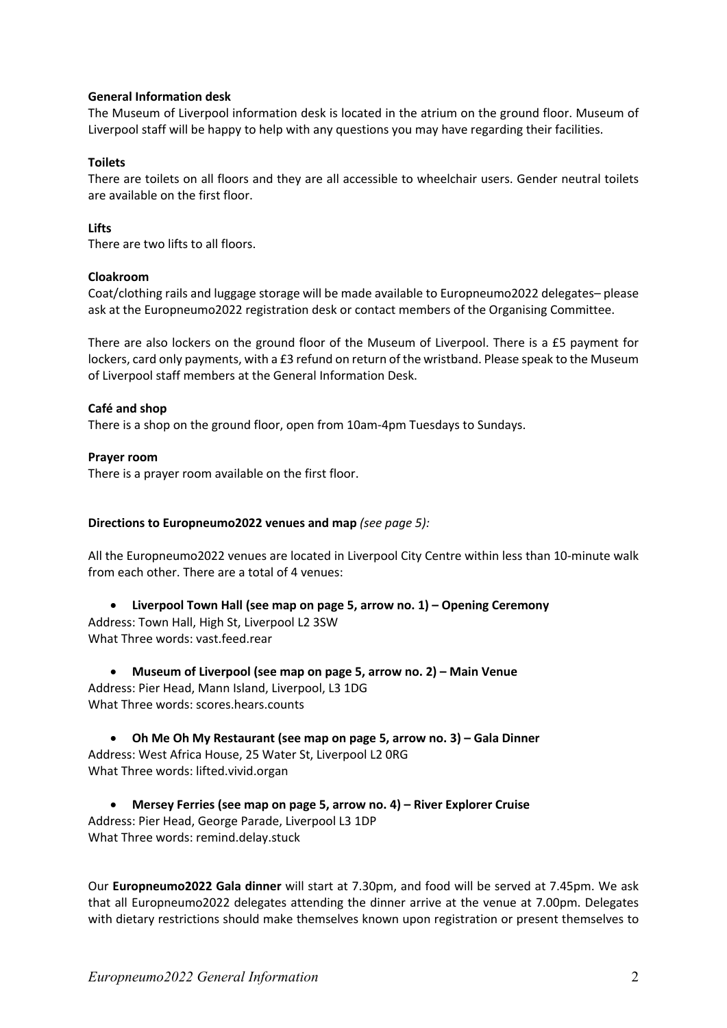# **General Information desk**

The Museum of Liverpool information desk is located in the atrium on the ground floor. Museum of Liverpool staff will be happy to help with any questions you may have regarding their facilities.

# **Toilets**

There are toilets on all floors and they are all accessible to wheelchair users. Gender neutral toilets are available on the first floor.

# **Lifts**

There are two lifts to all floors.

# **Cloakroom**

Coat/clothing rails and luggage storage will be made available to Europneumo2022 delegates– please ask at the Europneumo2022 registration desk or contact members of the Organising Committee.

There are also lockers on the ground floor of the Museum of Liverpool. There is a £5 payment for lockers, card only payments, with a £3 refund on return of the wristband. Please speak to the Museum of Liverpool staff members at the General Information Desk.

## **Café and shop**

There is a shop on the ground floor, open from 10am-4pm Tuesdays to Sundays.

**Prayer room**

There is a prayer room available on the first floor.

## **Directions to Europneumo2022 venues and map** *(see page 5):*

All the Europneumo2022 venues are located in Liverpool City Centre within less than 10-minute walk from each other. There are a total of 4 venues:

• **Liverpool Town Hall (see map on page 5, arrow no. 1) – Opening Ceremony** Address: Town Hall, High St, Liverpool L2 3SW What Three words: vast.feed.rear

• **Museum of Liverpool (see map on page 5, arrow no. 2) – Main Venue** Address: Pier Head, Mann Island, Liverpool, L3 1DG What Three words: scores.hears.counts

• **Oh Me Oh My Restaurant (see map on page 5, arrow no. 3) – Gala Dinner** Address: West Africa House, 25 Water St, Liverpool L2 0RG What Three words: lifted.vivid.organ

• **Mersey Ferries (see map on page 5, arrow no. 4) – River Explorer Cruise** Address: Pier Head, George Parade, Liverpool L3 1DP What Three words: remind.delay.stuck

Our **Europneumo2022 Gala dinner** will start at 7.30pm, and food will be served at 7.45pm. We ask that all Europneumo2022 delegates attending the dinner arrive at the venue at 7.00pm. Delegates with dietary restrictions should make themselves known upon registration or present themselves to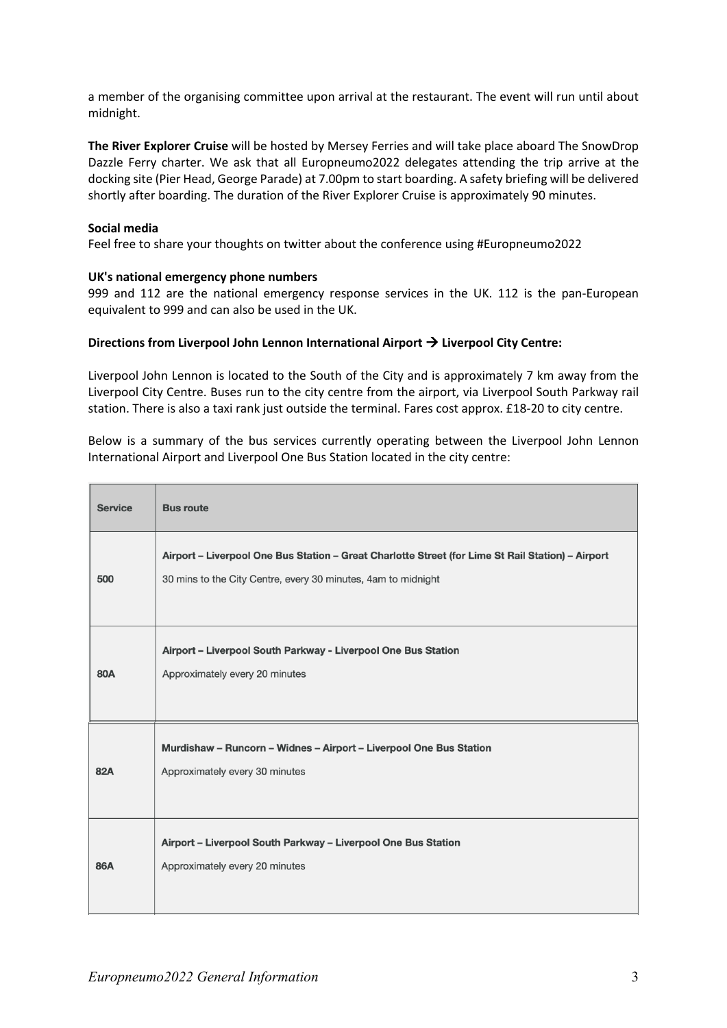a member of the organising committee upon arrival at the restaurant. The event will run until about midnight.

**The River Explorer Cruise** will be hosted by Mersey Ferries and will take place aboard The SnowDrop Dazzle Ferry charter. We ask that all Europneumo2022 delegates attending the trip arrive at the docking site (Pier Head, George Parade) at 7.00pm to start boarding. A safety briefing will be delivered shortly after boarding. The duration of the River Explorer Cruise is approximately 90 minutes.

## **Social media**

Feel free to share your thoughts on twitter about the conference using #Europneumo2022

## **UK's national emergency phone numbers**

999 and 112 are the national emergency response services in the UK. 112 is the pan-European equivalent to 999 and can also be used in the UK.

## **Directions from Liverpool John Lennon International Airport** à **Liverpool City Centre:**

Liverpool John Lennon is located to the South of the City and is approximately 7 km away from the Liverpool City Centre. Buses run to the city centre from the airport, via Liverpool South Parkway rail station. There is also a taxi rank just outside the terminal. Fares cost approx. £18-20 to city centre.

Below is a summary of the bus services currently operating between the Liverpool John Lennon International Airport and Liverpool One Bus Station located in the city centre:

| <b>Service</b> | <b>Bus route</b>                                                                                                                                                   |
|----------------|--------------------------------------------------------------------------------------------------------------------------------------------------------------------|
| 500            | Airport - Liverpool One Bus Station - Great Charlotte Street (for Lime St Rail Station) - Airport<br>30 mins to the City Centre, every 30 minutes, 4am to midnight |
| 80A            | Airport - Liverpool South Parkway - Liverpool One Bus Station<br>Approximately every 20 minutes                                                                    |
| 82A            | Murdishaw - Runcorn - Widnes - Airport - Liverpool One Bus Station<br>Approximately every 30 minutes                                                               |
| 86A            | Airport - Liverpool South Parkway - Liverpool One Bus Station<br>Approximately every 20 minutes                                                                    |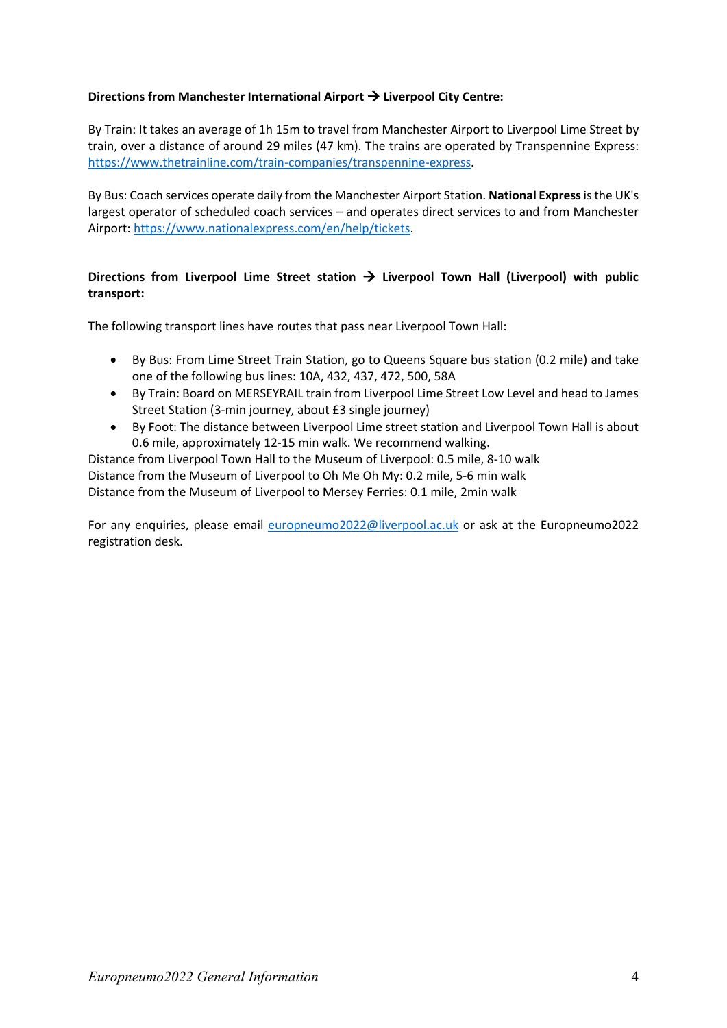# **Directions from Manchester International Airport** à **Liverpool City Centre:**

By Train: It takes an average of 1h 15m to travel from Manchester Airport to Liverpool Lime Street by train, over a distance of around 29 miles (47 km). The trains are operated by Transpennine Express: https://www.thetrainline.com/train-companies/transpennine-express.

By Bus: Coach services operate daily from the Manchester Airport Station. **National Express** is the UK's largest operator of scheduled coach services – and operates direct services to and from Manchester Airport: https://www.nationalexpress.com/en/help/tickets.

# **Directions from Liverpool Lime Street station** à **Liverpool Town Hall (Liverpool) with public transport:**

The following transport lines have routes that pass near Liverpool Town Hall:

- By Bus: From Lime Street Train Station, go to Queens Square bus station (0.2 mile) and take one of the following bus lines: 10A, 432, 437, 472, 500, 58A
- By Train: Board on MERSEYRAIL train from Liverpool Lime Street Low Level and head to James Street Station (3-min journey, about £3 single journey)
- By Foot: The distance between Liverpool Lime street station and Liverpool Town Hall is about 0.6 mile, approximately 12-15 min walk. We recommend walking.

Distance from Liverpool Town Hall to the Museum of Liverpool: 0.5 mile, 8-10 walk Distance from the Museum of Liverpool to Oh Me Oh My: 0.2 mile, 5-6 min walk Distance from the Museum of Liverpool to Mersey Ferries: 0.1 mile, 2min walk

For any enquiries, please email europneumo2022@liverpool.ac.uk or ask at the Europneumo2022 registration desk.